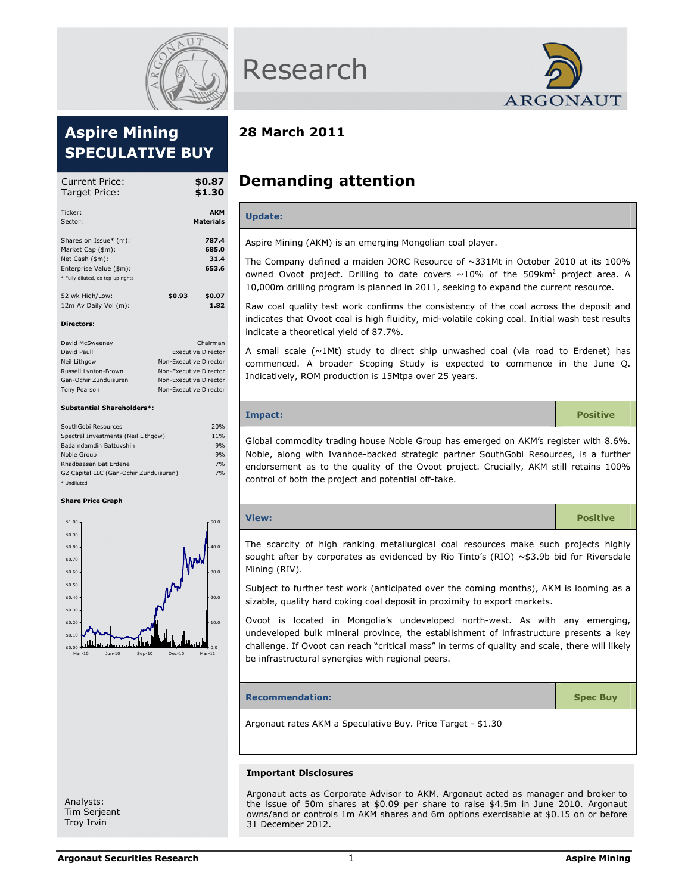

# Aspire Mining SPECULATIVE BUY

| Current Price:<br>Target Price:   |        | \$0.87<br>\$1.30               |
|-----------------------------------|--------|--------------------------------|
| Ticker:<br>Sector:                |        | <b>AKM</b><br><b>Materials</b> |
|                                   |        |                                |
| Shares on Issue* (m):             |        | 787.4                          |
| Market Cap (\$m):                 |        | 685.0                          |
| Net Cash (\$m):                   |        | 31.4                           |
| Enterprise Value (\$m):           |        | 653.6                          |
| * Fully diluted, ex top-up rights |        |                                |
| 52 wk High/Low:                   | \$0.93 | \$0.07                         |
| 12m Av Daily Vol (m):             |        | 1.82                           |
| <b>Directors:</b>                 |        |                                |
| David McCwoonov                   |        | Chairman                       |

| David McSweeney       | Chairman                  |
|-----------------------|---------------------------|
| David Paull           | <b>Executive Director</b> |
| Neil Lithaow          | Non-Executive Director    |
| Russell Lynton-Brown  | Non-Executive Director    |
| Gan-Ochir Zunduisuren | Non-Executive Director    |
| Tony Pearson          | Non-Executive Director    |
|                       |                           |

## Substantial Shareholders\*:

| SouthGobi Resources                    | 20% |
|----------------------------------------|-----|
| Spectral Investments (Neil Lithgow)    | 11% |
| Badamdamdin Battuyshin                 | 9%  |
| Noble Group                            | 9%  |
| Khadbaasan Bat Erdene                  | 7%  |
| GZ Capital LLC (Gan-Ochir Zunduisuren) | 7%  |
| * Undiluted                            |     |

#### Share Price Graph



Research



## 28 March 2011

# Demanding attention

## Update:

Aspire Mining (AKM) is an emerging Mongolian coal player.

The Company defined a maiden JORC Resource of ~331Mt in October 2010 at its 100% owned Ovoot project. Drilling to date covers  $\sim 10\%$  of the 509km<sup>2</sup> project area. A 10,000m drilling program is planned in 2011, seeking to expand the current resource.

Raw coal quality test work confirms the consistency of the coal across the deposit and indicates that Ovoot coal is high fluidity, mid-volatile coking coal. Initial wash test results indicate a theoretical yield of 87.7%.

A small scale  $(\sim1$ Mt) study to direct ship unwashed coal (via road to Erdenet) has commenced. A broader Scoping Study is expected to commence in the June Q. Indicatively, ROM production is 15Mtpa over 25 years.

# Impact: Positive Global commodity trading house Noble Group has emerged on AKM's register with 8.6%. Noble, along with Ivanhoe-backed strategic partner SouthGobi Resources, is a further endorsement as to the quality of the Ovoot project. Crucially, AKM still retains 100% control of both the project and potential off-take.

| View: | <b>Positive</b> |
|-------|-----------------|
|       |                 |

The scarcity of high ranking metallurgical coal resources make such projects highly sought after by corporates as evidenced by Rio Tinto's (RIO)  $\sim$ \$3.9b bid for Riversdale Mining (RIV).

Subject to further test work (anticipated over the coming months), AKM is looming as a sizable, quality hard coking coal deposit in proximity to export markets.

Ovoot is located in Mongolia's undeveloped north-west. As with any emerging, undeveloped bulk mineral province, the establishment of infrastructure presents a key challenge. If Ovoot can reach "critical mass" in terms of quality and scale, there will likely be infrastructural synergies with regional peers.

#### Recommendation: Spec Buy

Argonaut rates AKM a Speculative Buy. Price Target - \$1.30

#### Important Disclosures

Argonaut acts as Corporate Advisor to AKM. Argonaut acted as manager and broker to the issue of 50m shares at \$0.09 per share to raise \$4.5m in June 2010. Argonaut owns/and or controls 1m AKM shares and 6m options exercisable at \$0.15 on or before 31 December 2012.

Analysts: Tim Serjeant Troy Irvin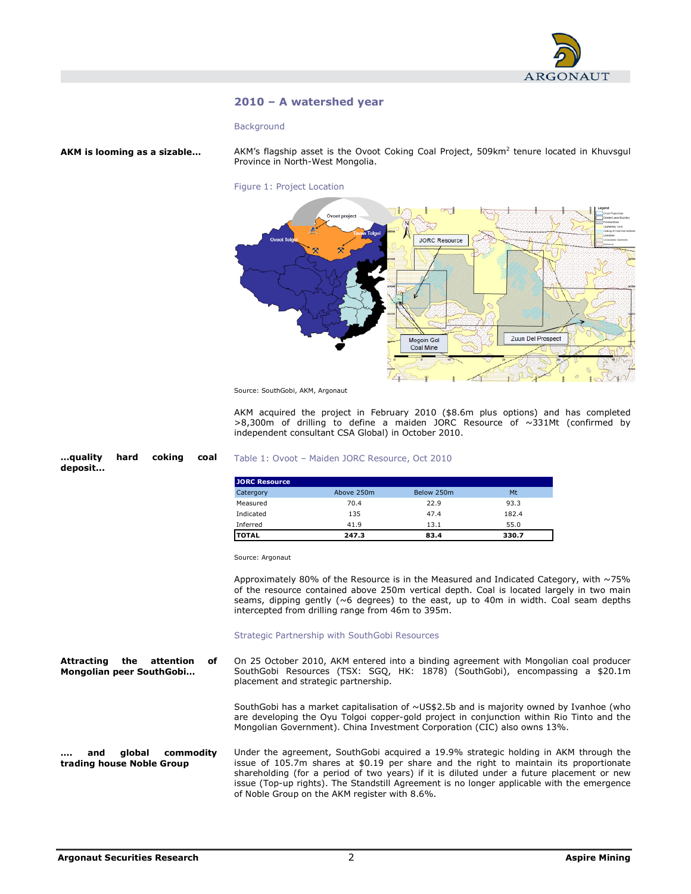

## 2010 – A watershed year

#### **Background**

AKM is looming as a sizable…

…quality hard coking coal

deposit...

AKM's flagship asset is the Ovoot Coking Coal Project,  $509$ km<sup>2</sup> tenure located in Khuvsgul Province in North-West Mongolia.





Source: SouthGobi, AKM, Argonaut

AKM acquired the project in February 2010 (\$8.6m plus options) and has completed >8,300m of drilling to define a maiden JORC Resource of ~331Mt (confirmed by independent consultant CSA Global) in October 2010.

#### Table 1: Ovoot – Maiden JORC Resource, Oct 2010

| <b>JORC Resource</b> |            |            |       |
|----------------------|------------|------------|-------|
| Catergory            | Above 250m | Below 250m | Mt    |
| Measured             | 70.4       | 22.9       | 93.3  |
| Indicated            | 135        | 47.4       | 182.4 |
| Inferred             | 41.9       | 13.1       | 55.0  |
| <b>TOTAL</b>         | 247.3      | 83.4       | 330.7 |

Source: Argonaut

Approximately 80% of the Resource is in the Measured and Indicated Category, with  $\sim$  75% of the resource contained above 250m vertical depth. Coal is located largely in two main seams, dipping gently (~6 degrees) to the east, up to 40m in width. Coal seam depths intercepted from drilling range from 46m to 395m.

#### Strategic Partnership with SouthGobi Resources

On 25 October 2010, AKM entered into a binding agreement with Mongolian coal producer SouthGobi Resources (TSX: SGQ, HK: 1878) (SouthGobi), encompassing a \$20.1m placement and strategic partnership. Attracting the attention of Mongolian peer SouthGobi…

> SouthGobi has a market capitalisation of ~US\$2.5b and is majority owned by Ivanhoe (who are developing the Oyu Tolgoi copper-gold project in conjunction within Rio Tinto and the Mongolian Government). China Investment Corporation (CIC) also owns 13%.

Under the agreement, SouthGobi acquired a 19.9% strategic holding in AKM through the issue of 105.7m shares at \$0.19 per share and the right to maintain its proportionate shareholding (for a period of two years) if it is diluted under a future placement or new issue (Top-up rights). The Standstill Agreement is no longer applicable with the emergence of Noble Group on the AKM register with 8.6%. and global commodity trading house Noble Group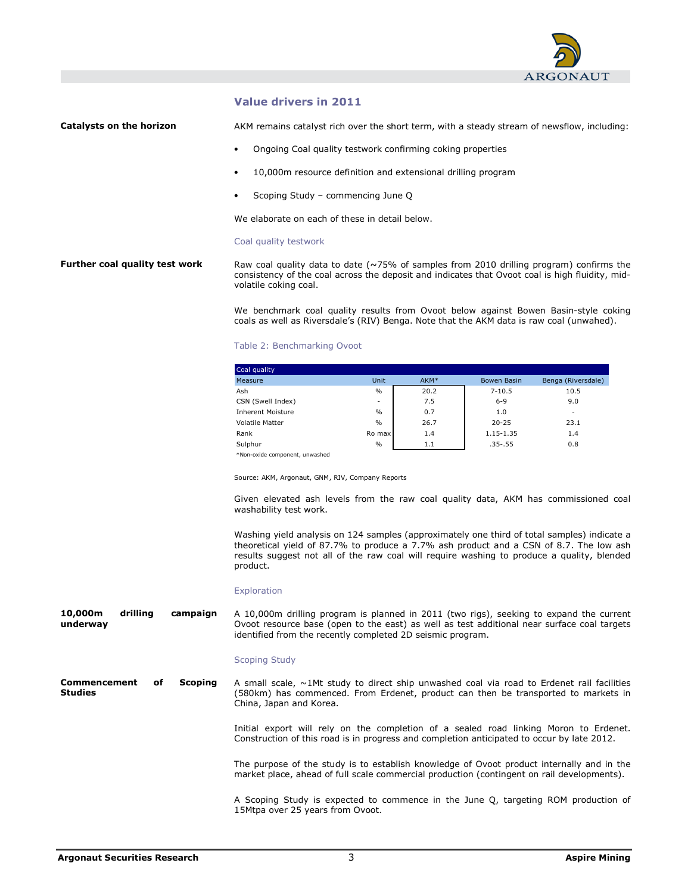

## Value drivers in 2011

#### Catalysts on the horizon

AKM remains catalyst rich over the short term, with a steady stream of newsflow, including:

- Ongoing Coal quality testwork confirming coking properties
- 10,000m resource definition and extensional drilling program
- Scoping Study commencing June Q

We elaborate on each of these in detail below.

#### Coal quality testwork

#### Raw coal quality data to date (~75% of samples from 2010 drilling program) confirms the consistency of the coal across the deposit and indicates that Ovoot coal is high fluidity, midvolatile coking coal. Further coal quality test work

We benchmark coal quality results from Ovoot below against Bowen Basin-style coking coals as well as Riversdale's (RIV) Benga. Note that the AKM data is raw coal (unwahed).

#### Table 2: Benchmarking Ovoot

| Coal quality                   |               |      |             |                    |
|--------------------------------|---------------|------|-------------|--------------------|
| Measure                        | Unit          | AKM* | Bowen Basin | Benga (Riversdale) |
| Ash                            | $\frac{0}{0}$ | 20.2 | $7 - 10.5$  | 10.5               |
| CSN (Swell Index)              | ٠             | 7.5  | $6 - 9$     | 9.0                |
| <b>Inherent Moisture</b>       | $\frac{0}{0}$ | 0.7  | 1.0         | -                  |
| <b>Volatile Matter</b>         | $\frac{0}{0}$ | 26.7 | $20 - 25$   | 23.1               |
| Rank                           | Ro max        | 1.4  | 1.15-1.35   | 1.4                |
| Sulphur                        | $\frac{0}{0}$ | 1.1  | $.35-.55$   | 0.8                |
| *Non-oxide component, unwashed |               |      |             |                    |

Source: AKM, Argonaut, GNM, RIV, Company Reports

Given elevated ash levels from the raw coal quality data, AKM has commissioned coal washability test work.

Washing yield analysis on 124 samples (approximately one third of total samples) indicate a theoretical yield of 87.7% to produce a 7.7% ash product and a CSN of 8.7. The low ash results suggest not all of the raw coal will require washing to produce a quality, blended product.

#### Exploration

A 10,000m drilling program is planned in 2011 (two rigs), seeking to expand the current Ovoot resource base (open to the east) as well as test additional near surface coal targets identified from the recently completed 2D seismic program. 10,000m drilling campaign underway

#### Scoping Study

A small scale,  $\sim$ 1Mt study to direct ship unwashed coal via road to Erdenet rail facilities (580km) has commenced. From Erdenet, product can then be transported to markets in China, Japan and Korea. Commencement of Scoping Studies

> Initial export will rely on the completion of a sealed road linking Moron to Erdenet. Construction of this road is in progress and completion anticipated to occur by late 2012.

> The purpose of the study is to establish knowledge of Ovoot product internally and in the market place, ahead of full scale commercial production (contingent on rail developments).

> A Scoping Study is expected to commence in the June Q, targeting ROM production of 15Mtpa over 25 years from Ovoot.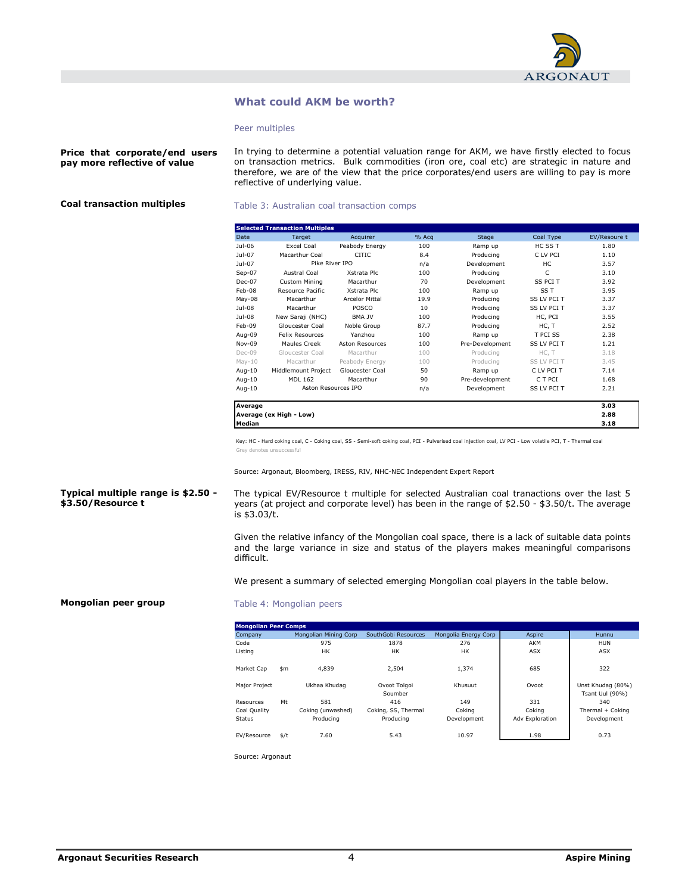

## What could AKM be worth?

#### Peer multiples

Price that corporate/end users pay more reflective of value

In trying to determine a potential valuation range for AKM, we have firstly elected to focus on transaction metrics. Bulk commodities (iron ore, coal etc) are strategic in nature and therefore, we are of the view that the price corporates/end users are willing to pay is more reflective of underlying value.

## Coal transaction multiples

#### Table 3: Australian coal transaction comps

|                 | <b>Selected Transaction Multiples</b> |                       |       |                 |                    |              |
|-----------------|---------------------------------------|-----------------------|-------|-----------------|--------------------|--------------|
| Date            | Target                                | Acquirer              | % Acq | Stage           | Coal Type          | EV/Resoure t |
| Jul-06          | <b>Excel Coal</b>                     | Peabody Energy        | 100   | Ramp up         | HC SS T            | 1.80         |
| $1ul-07$        | Macarthur Coal                        | CITIC.                | 8.4   | Producing       | C LV PCI           | 1.10         |
| Jul-07          | Pike River IPO                        |                       | n/a   | Development     | HC.                | 3.57         |
| $Sep-07$        | Austral Coal                          | Xstrata Plc           | 100   | Producing       | C                  | 3.10         |
| Dec-07          | <b>Custom Mining</b>                  | Macarthur             | 70    | Development     | SS PCI T           | 3.92         |
| $Feh-08$        | Resource Pacific                      | Xstrata Plc           | 100   | Ramp up         | SS T               | 3.95         |
| May-08          | Macarthur                             | <b>Arcelor Mittal</b> | 19.9  | Producing       | SS LV PCI T        | 3.37         |
| Jul-08          | Macarthur                             | <b>POSCO</b>          | 10    | Producing       | SS LV PCI T        | 3.37         |
| Jul-08          | New Saraji (NHC)                      | <b>BMA JV</b>         | 100   | Producing       | HC, PCI            | 3.55         |
| Feb-09          | Gloucester Coal                       | Noble Group           | 87.7  | Producing       | HC, T              | 2.52         |
| Aug-09          | <b>Felix Resources</b>                | Yanzhou               | 100   | Ramp up         | T PCI SS           | 2.38         |
| Nov-09          | Maules Creek                          | Aston Resources       | 100   | Pre-Development | <b>SS LV PCI T</b> | 1.21         |
| Dec-09          | Gloucester Coal                       | Macarthur             | 100   | Producing       | HC, T              | 3.18         |
| $May-10$        | Macarthur                             | Peabody Energy        | 100   | Producina       | SS LV PCI T        | 3.45         |
| Aug-10          | Middlemount Project                   | Gloucester Coal       | 50    | Ramp up         | C LV PCI T         | 7.14         |
| Aug-10          | MDL 162                               | Macarthur             | 90    | Pre-development | C T PCI            | 1.68         |
| Aug-10          | Aston Resources IPO                   |                       | n/a   | Development     | SS LV PCI T        | 2.21         |
| Average         |                                       |                       |       |                 |                    | 3.03         |
|                 | Average (ex High - Low)               |                       |       |                 |                    | 2.88         |
| <b>I</b> Median |                                       |                       |       |                 |                    | 3.18         |

Key: HC - Hard coking coal, C - Coking coal, SS - Semi-soft coking coal, PCI - Pulverised coal injection coal, LV PCI - Low volatile PCI, T - Thermal coal Grey de

Source: Argonaut, Bloomberg, IRESS, RIV, NHC-NEC Independent Expert Report

#### Typical multiple range is \$2.50 - \$3.50/Resource t

The typical EV/Resource t multiple for selected Australian coal tranactions over the last 5 years (at project and corporate level) has been in the range of \$2.50 - \$3.50/t. The average  $is$  \$3.03/t.

Given the relative infancy of the Mongolian coal space, there is a lack of suitable data points and the large variance in size and status of the players makes meaningful comparisons difficult.

We present a summary of selected emerging Mongolian coal players in the table below.

#### Mongolian peer group

#### Table 4: Mongolian peers

| <b>Mongolian Peer Comps</b> |      |                       |                         |                      |                        |                                      |
|-----------------------------|------|-----------------------|-------------------------|----------------------|------------------------|--------------------------------------|
| Company                     |      | Mongolian Mining Corp | SouthGobi Resources     | Mongolia Energy Corp | Aspire                 | Hunnu                                |
| Code                        |      | 975                   | 1878                    | 276                  | AKM                    | <b>HUN</b>                           |
| Listing                     |      | <b>HK</b>             | HК                      | HК                   | <b>ASX</b>             | <b>ASX</b>                           |
| Market Cap                  | \$m  | 4,839                 | 2.504                   | 1.374                | 685                    | 322                                  |
| Major Project               |      | Ukhaa Khudag          | Ovoot Tolgoi<br>Soumber | Khusuut              | Ovoot                  | Unst Khudag (80%)<br>Tsant Uul (90%) |
| Resources                   | Mt   | 581                   | 416                     | 149                  | 331                    | 340                                  |
| Coal Quality                |      | Coking (unwashed)     | Coking, SS, Thermal     | Cokina               | Cokina                 | Thermal + Coking                     |
| <b>Status</b>               |      | Producing             | Producing               | Development          | <b>Adv Exploration</b> | Development                          |
| EV/Resource                 | \$/t | 7.60                  | 5.43                    | 10.97                | 1.98                   | 0.73                                 |

Source: Argonaut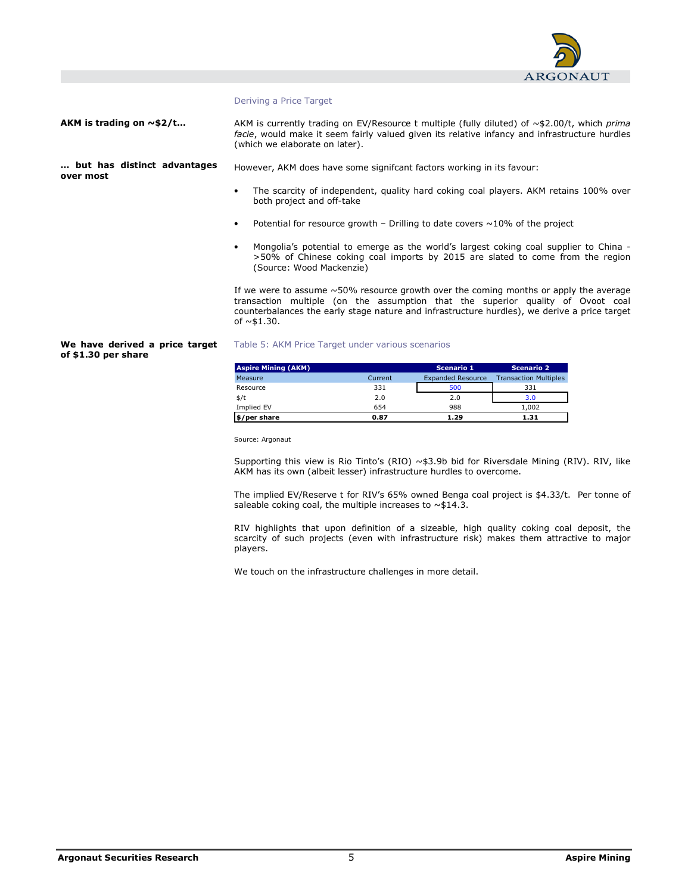

#### Deriving a Price Target

AKM is trading on  $\sim$ \$2/t...

AKM is currently trading on EV/Resource t multiple (fully diluted) of  $\sim$ \$2.00/t, which prima facie, would make it seem fairly valued given its relative infancy and infrastructure hurdles (which we elaborate on later).

… but has distinct advantages over most

However, AKM does have some signifcant factors working in its favour:

- The scarcity of independent, quality hard coking coal players. AKM retains 100% over both project and off-take
- Potential for resource growth Drilling to date covers  $\sim$  10% of the project
- Mongolia's potential to emerge as the world's largest coking coal supplier to China >50% of Chinese coking coal imports by 2015 are slated to come from the region (Source: Wood Mackenzie)

If we were to assume  $~50\%$  resource growth over the coming months or apply the average transaction multiple (on the assumption that the superior quality of Ovoot coal counterbalances the early stage nature and infrastructure hurdles), we derive a price target of  $~1.30$ .

#### We have derived a price target of \$1.30 per share

#### Table 5: AKM Price Target under various scenarios

| <b>Aspire Mining (AKM)</b> |         | <b>Scenario 1</b>        | <b>Scenario 2</b>            |
|----------------------------|---------|--------------------------|------------------------------|
| Measure                    | Current | <b>Expanded Resource</b> | <b>Transaction Multiples</b> |
| Resource                   | 331     | 500                      | 331                          |
| \$/t                       | 2.0     | 2.0                      | 3.0                          |
| Implied EV                 | 654     | 988                      | 1.002                        |
| \$/per share               | 0.87    | 1.29                     | 1.31                         |

Source: Argonaut

Supporting this view is Rio Tinto's (RIO)  $\sim$ \$3.9b bid for Riversdale Mining (RIV). RIV, like AKM has its own (albeit lesser) infrastructure hurdles to overcome.

The implied EV/Reserve t for RIV's 65% owned Benga coal project is \$4.33/t. Per tonne of saleable coking coal, the multiple increases to  $\sim$  \$14.3.

RIV highlights that upon definition of a sizeable, high quality coking coal deposit, the scarcity of such projects (even with infrastructure risk) makes them attractive to major players.

We touch on the infrastructure challenges in more detail.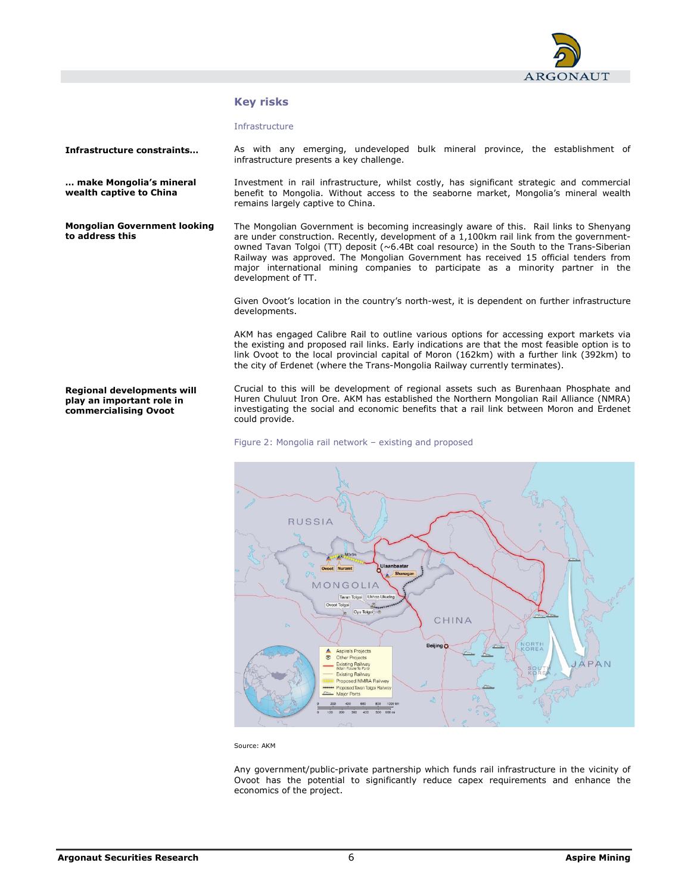

## Key risks

#### Infrastructure

development of TT.

infrastructure presents a key challenge.

remains largely captive to China.

Infrastructure constraints…

… make Mongolia's mineral wealth captive to China

Mongolian Government looking to address this

The Mongolian Government is becoming increasingly aware of this. Rail links to Shenyang are under construction. Recently, development of a 1,100km rail link from the governmentowned Tavan Tolgoi (TT) deposit (~6.4Bt coal resource) in the South to the Trans-Siberian Railway was approved. The Mongolian Government has received 15 official tenders from major international mining companies to participate as a minority partner in the

As with any emerging, undeveloped bulk mineral province, the establishment of

Investment in rail infrastructure, whilst costly, has significant strategic and commercial benefit to Mongolia. Without access to the seaborne market, Mongolia's mineral wealth

Given Ovoot's location in the country's north-west, it is dependent on further infrastructure developments.

AKM has engaged Calibre Rail to outline various options for accessing export markets via the existing and proposed rail links. Early indications are that the most feasible option is to link Ovoot to the local provincial capital of Moron (162km) with a further link (392km) to the city of Erdenet (where the Trans-Mongolia Railway currently terminates).

Regional developments will play an important role in commercialising Ovoot

Crucial to this will be development of regional assets such as Burenhaan Phosphate and Huren Chuluut Iron Ore. AKM has established the Northern Mongolian Rail Alliance (NMRA) investigating the social and economic benefits that a rail link between Moron and Erdenet could provide.

#### Figure 2: Mongolia rail network – existing and proposed



Source: AKM

Any government/public-private partnership which funds rail infrastructure in the vicinity of Ovoot has the potential to significantly reduce capex requirements and enhance the economics of the project.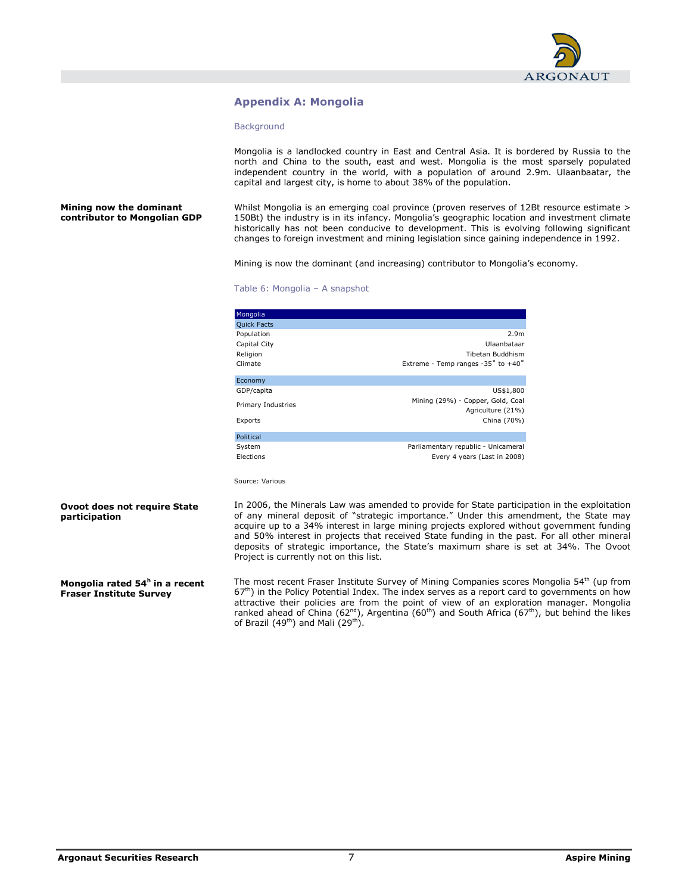

## Appendix A: Mongolia

#### **Background**

Mongolia is a landlocked country in East and Central Asia. It is bordered by Russia to the north and China to the south, east and west. Mongolia is the most sparsely populated independent country in the world, with a population of around 2.9m. Ulaanbaatar, the capital and largest city, is home to about 38% of the population.

Mining now the dominant contributor to Mongolian GDP Whilst Mongolia is an emerging coal province (proven reserves of 12Bt resource estimate > 150Bt) the industry is in its infancy. Mongolia's geographic location and investment climate historically has not been conducive to development. This is evolving following significant changes to foreign investment and mining legislation since gaining independence in 1992.

Mining is now the dominant (and increasing) contributor to Mongolia's economy.

#### Table 6: Mongolia – A snapshot

| Mongolia           |                                                        |
|--------------------|--------------------------------------------------------|
| <b>Quick Facts</b> |                                                        |
| Population         | 2.9 <sub>m</sub>                                       |
| Capital City       | Ulaanbataar                                            |
| Religion           | Tibetan Buddhism                                       |
| Climate            | Extreme - Temp ranges -35° to +40°                     |
| Economy            |                                                        |
| GDP/capita         | US\$1,800                                              |
| Primary Industries | Mining (29%) - Copper, Gold, Coal<br>Agriculture (21%) |
| Exports            | China (70%)                                            |
| Political          |                                                        |
| System             | Parliamentary republic - Unicameral                    |
| Elections          | Every 4 years (Last in 2008)                           |

Source: Various

#### Ovoot does not require State participation

Mongolia rated 54<sup>h</sup> in a recent Fraser Institute Survey

In 2006, the Minerals Law was amended to provide for State participation in the exploitation of any mineral deposit of "strategic importance." Under this amendment, the State may acquire up to a 34% interest in large mining projects explored without government funding and 50% interest in projects that received State funding in the past. For all other mineral deposits of strategic importance, the State's maximum share is set at 34%. The Ovoot Project is currently not on this list.

The most recent Fraser Institute Survey of Mining Companies scores Mongolia 54<sup>th</sup> (up from 67<sup>th</sup>) in the Policy Potential Index. The index serves as a report card to governments on how attractive their policies are from the point of view of an exploration manager. Mongolia ranked ahead of China (62<sup>nd</sup>), Argentina (60<sup>th</sup>) and South Africa (67<sup>th</sup>), but behind the likes of Brazil (49<sup>th</sup>) and Mali (29<sup>th</sup>).